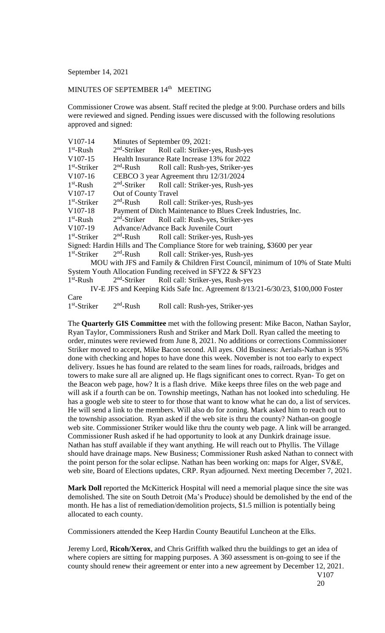September 14, 2021

1 st -Striker 2

 $2<sup>nd</sup>$ -Rush

## MINUTES OF SEPTEMBER 14<sup>th</sup> MEETING

Commissioner Crowe was absent. Staff recited the pledge at 9:00. Purchase orders and bills were reviewed and signed. Pending issues were discussed with the following resolutions approved and signed:

| $V107-14$                                                                       | Minutes of September 09, 2021:                               |                                                           |
|---------------------------------------------------------------------------------|--------------------------------------------------------------|-----------------------------------------------------------|
| $1st$ -Rush                                                                     | $2nd$ -Striker                                               | Roll call: Striker-yes, Rush-yes                          |
| $V107-15$                                                                       | Health Insurance Rate Increase 13% for 2022                  |                                                           |
| $1st$ -Striker                                                                  | $2nd$ -Rush                                                  | Roll call: Rush-yes, Striker-yes                          |
| $V107-16$                                                                       | CEBCO 3 year Agreement thru 12/31/2024                       |                                                           |
| $1st$ -Rush                                                                     | $2nd$ -Striker                                               | Roll call: Striker-yes, Rush-yes                          |
| V <sub>107</sub> -17                                                            | Out of County Travel                                         |                                                           |
| $1st$ -Striker                                                                  | $2nd$ -Rush                                                  | Roll call: Striker-yes, Rush-yes                          |
| $V107-18$                                                                       | Payment of Ditch Maintenance to Blues Creek Industries, Inc. |                                                           |
| $1st$ -Rush                                                                     | $2nd$ -Striker                                               | Roll call: Rush-yes, Striker-yes                          |
| V <sub>107</sub> -19                                                            | Advance/Advance Back Juvenile Court                          |                                                           |
| $1st$ -Striker                                                                  |                                                              | 2 <sup>nd</sup> -Rush Roll call: Striker-yes, Rush-yes    |
| Signed: Hardin Hills and The Compliance Store for web training, \$3600 per year |                                                              |                                                           |
| $1st$ -Striker                                                                  | $2nd$ -Rush                                                  | Roll call: Striker-yes, Rush-yes                          |
| MOU with JFS and Family & Children First Council, minimum of 10% of State Multi |                                                              |                                                           |
|                                                                                 |                                                              | System Youth Allocation Funding received in SFY22 & SFY23 |
| $1st$ -Rush                                                                     | $2nd$ -Striker                                               | Roll call: Striker-yes, Rush-yes                          |
| IV-E JFS and Keeping Kids Safe Inc. Agreement 8/13/21-6/30/23, \$100,000 Foster |                                                              |                                                           |
| Care                                                                            |                                                              |                                                           |

Roll call: Rush-yes, Striker-yes

The **Quarterly GIS Committee** met with the following present: Mike Bacon, Nathan Saylor, Ryan Taylor, Commissioners Rush and Striker and Mark Doll. Ryan called the meeting to order, minutes were reviewed from June 8, 2021. No additions or corrections Commissioner Striker moved to accept, Mike Bacon second. All ayes. Old Business: Aerials-Nathan is 95% done with checking and hopes to have done this week. November is not too early to expect delivery. Issues he has found are related to the seam lines for roads, railroads, bridges and towers to make sure all are aligned up. He flags significant ones to correct. Ryan- To get on the Beacon web page, how? It is a flash drive. Mike keeps three files on the web page and will ask if a fourth can be on. Township meetings, Nathan has not looked into scheduling. He has a google web site to steer to for those that want to know what he can do, a list of services. He will send a link to the members. Will also do for zoning. Mark asked him to reach out to the township association. Ryan asked if the web site is thru the county? Nathan-on google web site. Commissioner Striker would like thru the county web page. A link will be arranged. Commissioner Rush asked if he had opportunity to look at any Dunkirk drainage issue. Nathan has stuff available if they want anything. He will reach out to Phyllis. The Village should have drainage maps. New Business; Commissioner Rush asked Nathan to connect with the point person for the solar eclipse. Nathan has been working on: maps for Alger, SV&E, web site, Board of Elections updates, CRP. Ryan adjourned. Next meeting December 7, 2021.

**Mark Doll** reported the McKitterick Hospital will need a memorial plaque since the site was demolished. The site on South Detroit (Ma's Produce) should be demolished by the end of the month. He has a list of remediation/demolition projects, \$1.5 million is potentially being allocated to each county.

Commissioners attended the Keep Hardin County Beautiful Luncheon at the Elks.

Jeremy Lord, **Ricoh/Xerox**, and Chris Griffith walked thru the buildings to get an idea of where copiers are sitting for mapping purposes. A 360 assessment is on-going to see if the county should renew their agreement or enter into a new agreement by December 12, 2021.